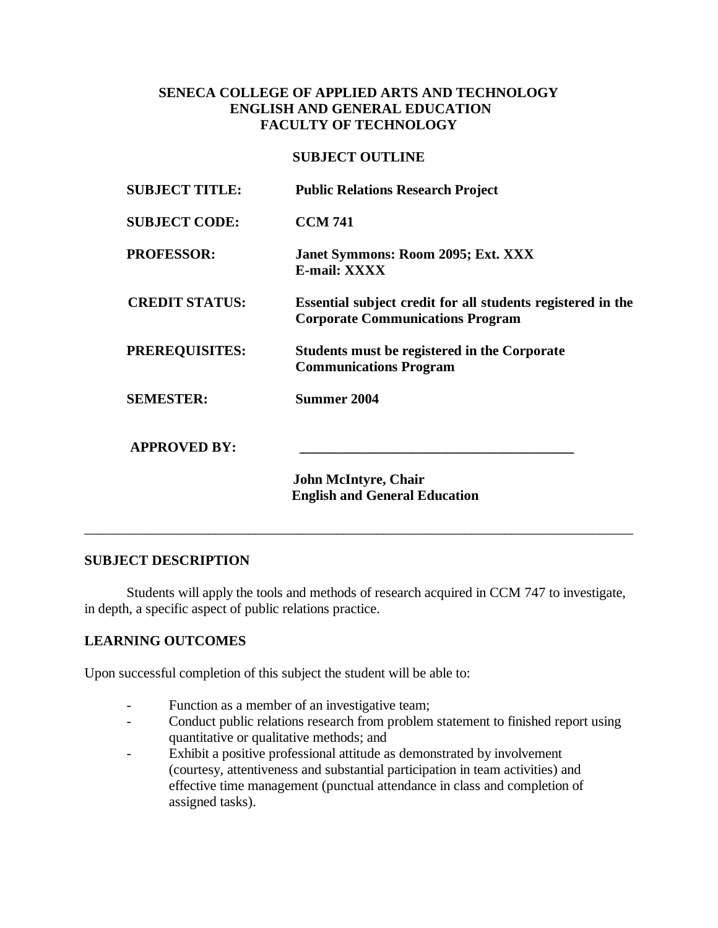# **SENECA COLLEGE OF APPLIED ARTS AND TECHNOLOGY ENGLISH AND GENERAL EDUCATION FACULTY OF TECHNOLOGY**

## **SUBJECT OUTLINE**

| <b>SUBJECT TITLE:</b> | <b>Public Relations Research Project</b>                                                               |
|-----------------------|--------------------------------------------------------------------------------------------------------|
| <b>SUBJECT CODE:</b>  | <b>CCM 741</b>                                                                                         |
| <b>PROFESSOR:</b>     | Janet Symmons: Room 2095; Ext. XXX<br><b>E-mail: XXXX</b>                                              |
| <b>CREDIT STATUS:</b> | Essential subject credit for all students registered in the<br><b>Corporate Communications Program</b> |
| <b>PREREQUISITES:</b> | Students must be registered in the Corporate<br><b>Communications Program</b>                          |
| <b>SEMESTER:</b>      | <b>Summer 2004</b>                                                                                     |
| <b>APPROVED BY:</b>   |                                                                                                        |
|                       | <b>John McIntyre, Chair</b><br><b>English and General Education</b>                                    |
|                       |                                                                                                        |

# **SUBJECT DESCRIPTION**

Students will apply the tools and methods of research acquired in CCM 747 to investigate, in depth, a specific aspect of public relations practice.

\_\_\_\_\_\_\_\_\_\_\_\_\_\_\_\_\_\_\_\_\_\_\_\_\_\_\_\_\_\_\_\_\_\_\_\_\_\_\_\_\_\_\_\_\_\_\_\_\_\_\_\_\_\_\_\_\_\_\_\_\_\_\_\_\_\_\_\_\_\_\_\_\_\_\_\_\_\_\_\_\_

# **LEARNING OUTCOMES**

Upon successful completion of this subject the student will be able to:

- Function as a member of an investigative team;
- Conduct public relations research from problem statement to finished report using quantitative or qualitative methods; and
- Exhibit a positive professional attitude as demonstrated by involvement (courtesy, attentiveness and substantial participation in team activities) and effective time management (punctual attendance in class and completion of assigned tasks).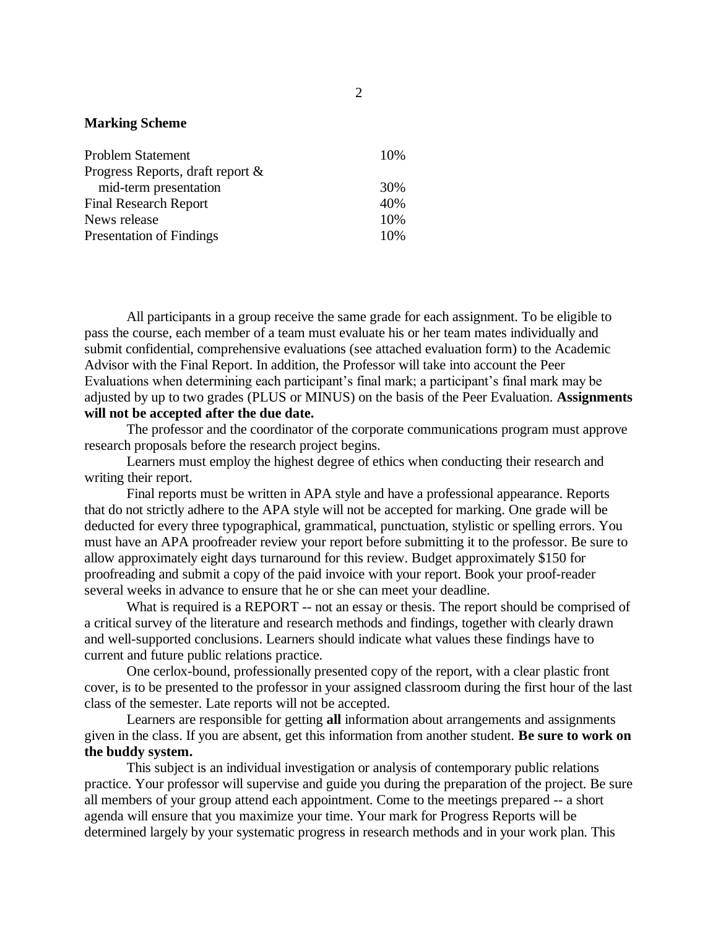#### **Marking Scheme**

| <b>Problem Statement</b>         | 10% |
|----------------------------------|-----|
| Progress Reports, draft report & |     |
| mid-term presentation            | 30% |
| <b>Final Research Report</b>     | 40% |
| News release                     | 10% |
| <b>Presentation of Findings</b>  | 10% |

All participants in a group receive the same grade for each assignment. To be eligible to pass the course, each member of a team must evaluate his or her team mates individually and submit confidential, comprehensive evaluations (see attached evaluation form) to the Academic Advisor with the Final Report. In addition, the Professor will take into account the Peer Evaluations when determining each participant's final mark; a participant's final mark may be adjusted by up to two grades (PLUS or MINUS) on the basis of the Peer Evaluation. **Assignments will not be accepted after the due date.**

The professor and the coordinator of the corporate communications program must approve research proposals before the research project begins.

Learners must employ the highest degree of ethics when conducting their research and writing their report.

Final reports must be written in APA style and have a professional appearance. Reports that do not strictly adhere to the APA style will not be accepted for marking. One grade will be deducted for every three typographical, grammatical, punctuation, stylistic or spelling errors. You must have an APA proofreader review your report before submitting it to the professor. Be sure to allow approximately eight days turnaround for this review. Budget approximately \$150 for proofreading and submit a copy of the paid invoice with your report. Book your proof-reader several weeks in advance to ensure that he or she can meet your deadline.

What is required is a REPORT -- not an essay or thesis. The report should be comprised of a critical survey of the literature and research methods and findings, together with clearly drawn and well-supported conclusions. Learners should indicate what values these findings have to current and future public relations practice.

One cerlox-bound, professionally presented copy of the report, with a clear plastic front cover, is to be presented to the professor in your assigned classroom during the first hour of the last class of the semester. Late reports will not be accepted.

Learners are responsible for getting **all** information about arrangements and assignments given in the class. If you are absent, get this information from another student. **Be sure to work on the buddy system.**

This subject is an individual investigation or analysis of contemporary public relations practice. Your professor will supervise and guide you during the preparation of the project. Be sure all members of your group attend each appointment. Come to the meetings prepared -- a short agenda will ensure that you maximize your time. Your mark for Progress Reports will be determined largely by your systematic progress in research methods and in your work plan. This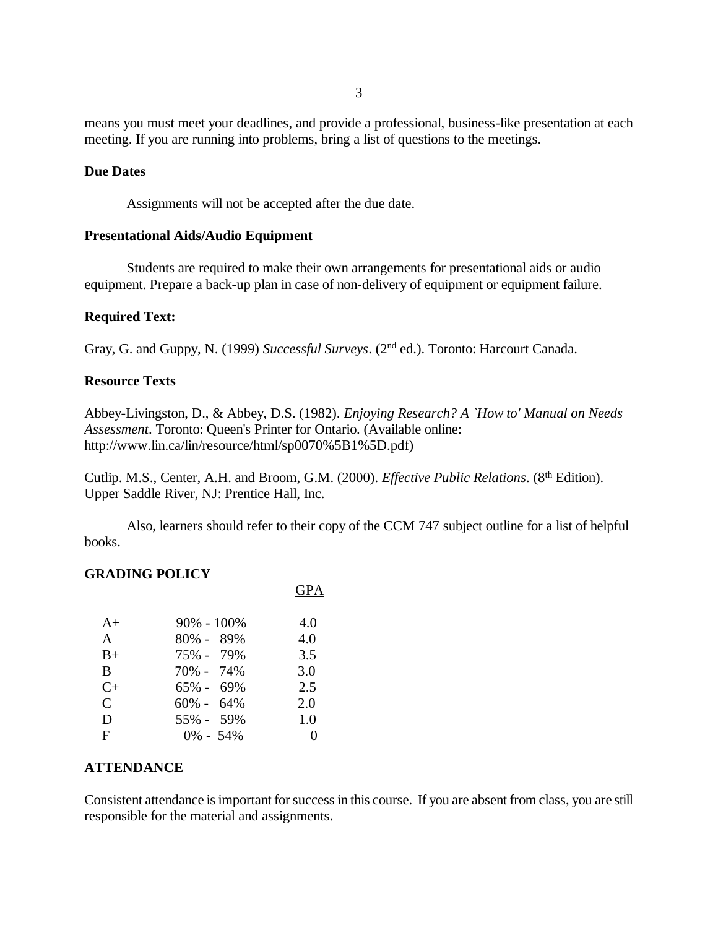means you must meet your deadlines, and provide a professional, business-like presentation at each meeting. If you are running into problems, bring a list of questions to the meetings.

#### **Due Dates**

Assignments will not be accepted after the due date.

### **Presentational Aids/Audio Equipment**

Students are required to make their own arrangements for presentational aids or audio equipment. Prepare a back-up plan in case of non-delivery of equipment or equipment failure.

# **Required Text:**

Gray, G. and Guppy, N. (1999) *Successful Surveys*. (2nd ed.). Toronto: Harcourt Canada.

### **Resource Texts**

Abbey-Livingston, D., & Abbey, D.S. (1982). *Enjoying Research? A `How to' Manual on Needs Assessment*. Toronto: Queen's Printer for Ontario. (Available online: http://www.lin.ca/lin/resource/html/sp0070%5B1%5D.pdf)

Cutlip. M.S., Center, A.H. and Broom, G.M. (2000). *Effective Public Relations*. (8<sup>th</sup> Edition). Upper Saddle River, NJ: Prentice Hall, Inc.

GPA

Also, learners should refer to their copy of the CCM 747 subject outline for a list of helpful books.

#### **GRADING POLICY**

| $A+$      | $90\% - 100\%$ | 4.0 |
|-----------|----------------|-----|
| A         | 80% - 89%      | 4.0 |
| $B+$      | 75% - 79%      | 3.5 |
| B         | 70% - 74%      | 3.0 |
| $C_{\pm}$ | $65\% - 69\%$  | 2.5 |
| C         | $60\% - 64\%$  | 2.0 |
| D         | 55% - 59%      | 1.0 |
| F         | $0\% - 54\%$   |     |

# **ATTENDANCE**

Consistent attendance is important for success in this course. If you are absent from class, you are still responsible for the material and assignments.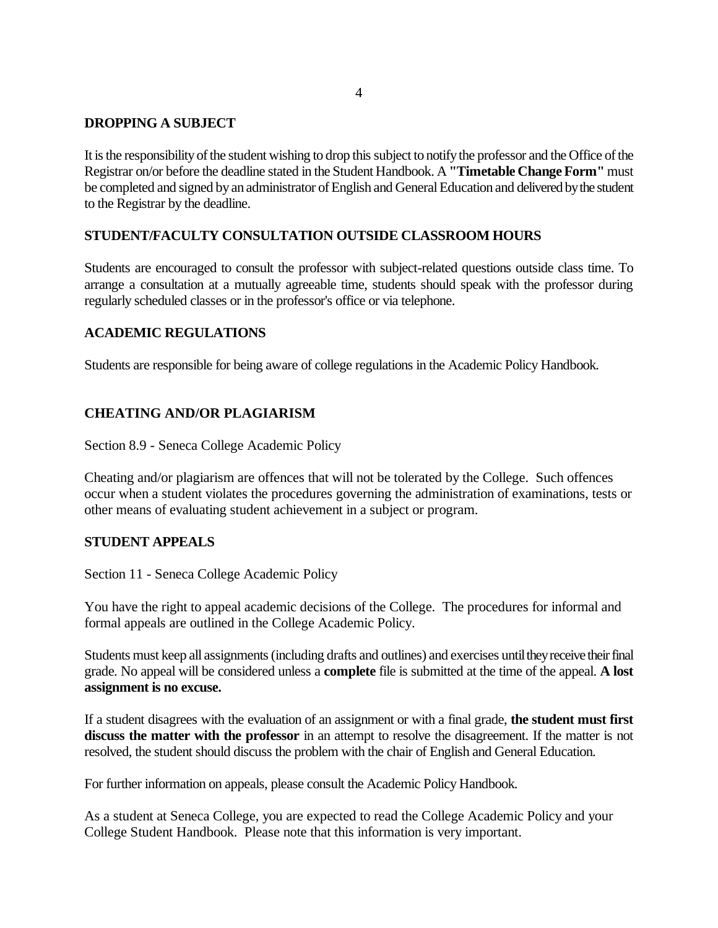# **DROPPING A SUBJECT**

It is the responsibility of the student wishing to drop this subject to notify the professor and the Office of the Registrar on/or before the deadline stated in the Student Handbook. A **"Timetable Change Form"** must be completed and signed by an administrator of English and General Education and delivered by the student to the Registrar by the deadline.

### **STUDENT/FACULTY CONSULTATION OUTSIDE CLASSROOM HOURS**

Students are encouraged to consult the professor with subject-related questions outside class time. To arrange a consultation at a mutually agreeable time, students should speak with the professor during regularly scheduled classes or in the professor's office or via telephone.

### **ACADEMIC REGULATIONS**

Students are responsible for being aware of college regulations in the Academic Policy Handbook.

# **CHEATING AND/OR PLAGIARISM**

Section 8.9 - Seneca College Academic Policy

Cheating and/or plagiarism are offences that will not be tolerated by the College. Such offences occur when a student violates the procedures governing the administration of examinations, tests or other means of evaluating student achievement in a subject or program.

# **STUDENT APPEALS**

Section 11 - Seneca College Academic Policy

You have the right to appeal academic decisions of the College. The procedures for informal and formal appeals are outlined in the College Academic Policy.

Students must keep all assignments (including drafts and outlines) and exercises until they receive their final grade. No appeal will be considered unless a **complete** file is submitted at the time of the appeal. **A lost assignment is no excuse.**

If a student disagrees with the evaluation of an assignment or with a final grade, **the student must first discuss the matter with the professor** in an attempt to resolve the disagreement. If the matter is not resolved, the student should discuss the problem with the chair of English and General Education.

For further information on appeals, please consult the Academic Policy Handbook.

As a student at Seneca College, you are expected to read the College Academic Policy and your College Student Handbook. Please note that this information is very important.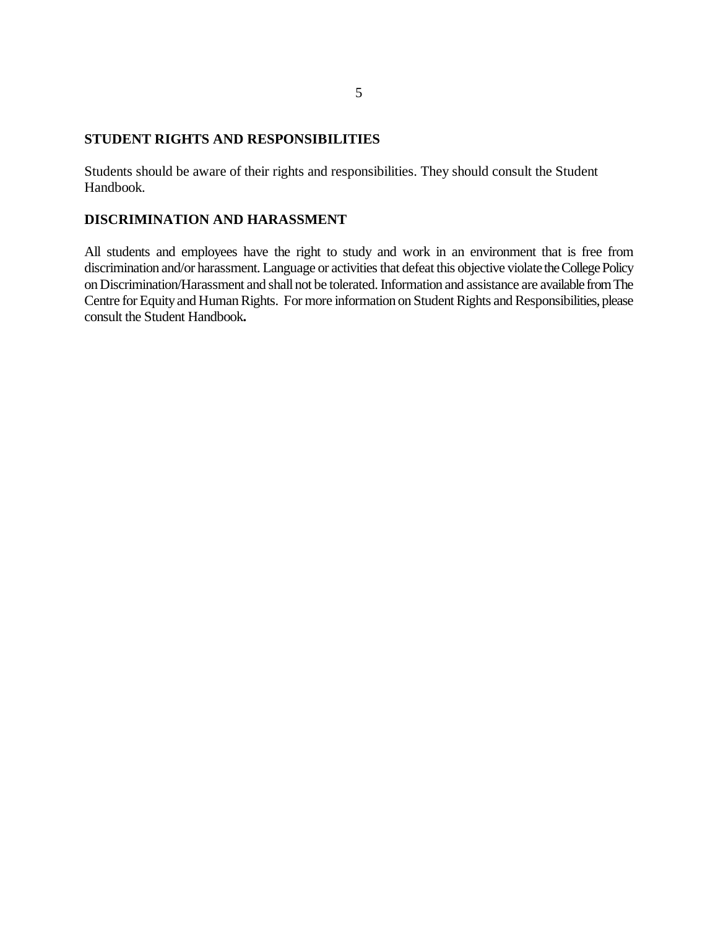# **STUDENT RIGHTS AND RESPONSIBILITIES**

Students should be aware of their rights and responsibilities. They should consult the Student Handbook.

# **DISCRIMINATION AND HARASSMENT**

All students and employees have the right to study and work in an environment that is free from discrimination and/or harassment. Language or activities that defeat this objective violate the College Policy on Discrimination/Harassment and shall not be tolerated. Information and assistance are available from The Centre for Equity and Human Rights. For more information on Student Rights and Responsibilities, please consult the Student Handbook**.**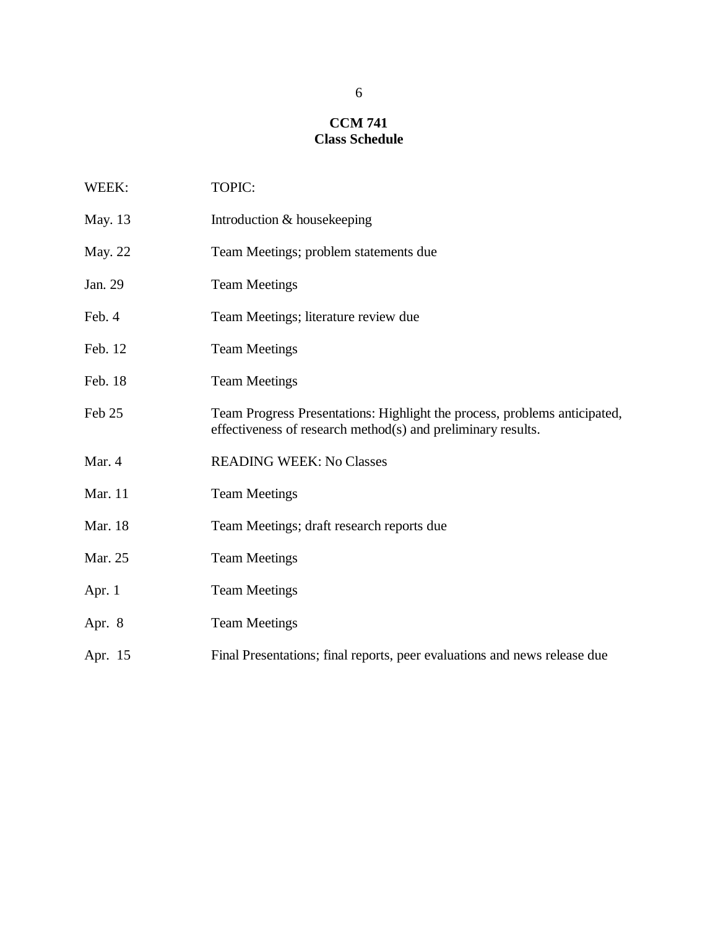# **CCM 741 Class Schedule**

| WEEK:    | TOPIC:                                                                                                                                    |
|----------|-------------------------------------------------------------------------------------------------------------------------------------------|
| May. 13  | Introduction & housekeeping                                                                                                               |
| May. 22  | Team Meetings; problem statements due                                                                                                     |
| Jan. 29  | <b>Team Meetings</b>                                                                                                                      |
| Feb. 4   | Team Meetings; literature review due                                                                                                      |
| Feb. 12  | <b>Team Meetings</b>                                                                                                                      |
| Feb. 18  | <b>Team Meetings</b>                                                                                                                      |
| Feb 25   | Team Progress Presentations: Highlight the process, problems anticipated,<br>effectiveness of research method(s) and preliminary results. |
| Mar. 4   | <b>READING WEEK: No Classes</b>                                                                                                           |
| Mar. 11  | <b>Team Meetings</b>                                                                                                                      |
| Mar. 18  | Team Meetings; draft research reports due                                                                                                 |
| Mar. 25  | <b>Team Meetings</b>                                                                                                                      |
| Apr. $1$ | <b>Team Meetings</b>                                                                                                                      |
| Apr. 8   | <b>Team Meetings</b>                                                                                                                      |
| Apr. 15  | Final Presentations; final reports, peer evaluations and news release due                                                                 |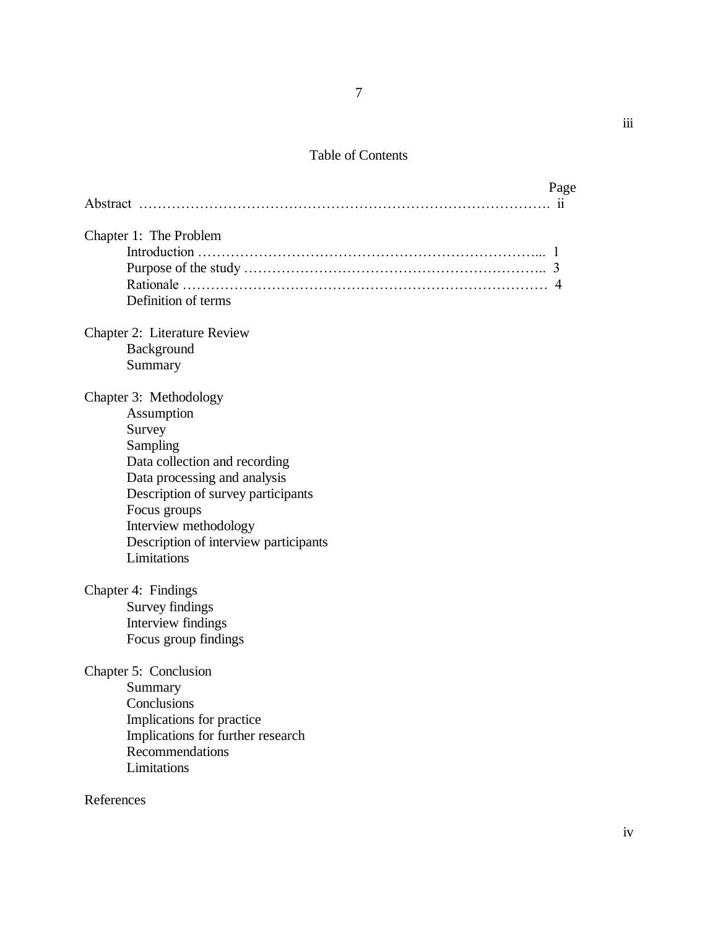# Table of Contents

| Page                                               |
|----------------------------------------------------|
|                                                    |
| Chapter 1: The Problem                             |
| 4<br>Definition of terms                           |
| Chapter 2: Literature Review                       |
| Background<br>Summary                              |
| Chapter 3: Methodology                             |
| Assumption                                         |
| Survey                                             |
| Sampling                                           |
| Data collection and recording                      |
| Data processing and analysis                       |
| Description of survey participants<br>Focus groups |
| Interview methodology                              |
| Description of interview participants              |
| Limitations                                        |
| Chapter 4: Findings                                |
| Survey findings                                    |
| Interview findings                                 |
| Focus group findings                               |
| Chapter 5: Conclusion                              |
| Summary                                            |
| Conclusions                                        |
| Implications for practice                          |
| Implications for further research                  |
| Recommendations<br>Limitations                     |
|                                                    |
| References                                         |

iii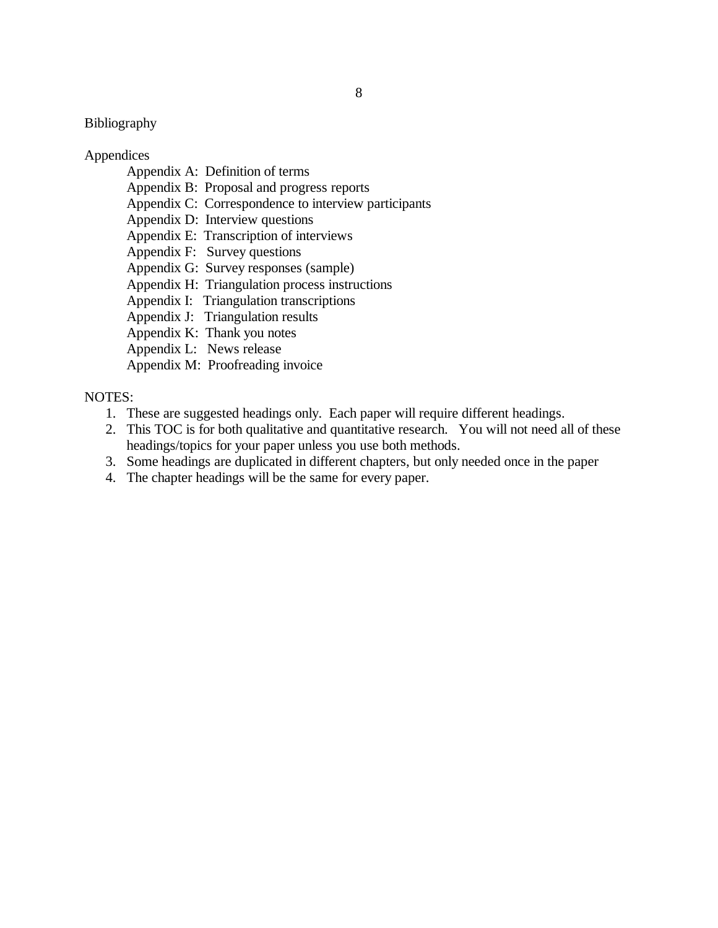# Bibliography

#### Appendices

- Appendix A: Definition of terms
- Appendix B: Proposal and progress reports
- Appendix C: Correspondence to interview participants
- Appendix D: Interview questions
- Appendix E: Transcription of interviews
- Appendix F: Survey questions
- Appendix G: Survey responses (sample)
- Appendix H: Triangulation process instructions
- Appendix I: Triangulation transcriptions
- Appendix J: Triangulation results
- Appendix K: Thank you notes
- Appendix L: News release
- Appendix M: Proofreading invoice

#### NOTES:

- 1. These are suggested headings only. Each paper will require different headings.
- 2. This TOC is for both qualitative and quantitative research. You will not need all of these headings/topics for your paper unless you use both methods.
- 3. Some headings are duplicated in different chapters, but only needed once in the paper
- 4. The chapter headings will be the same for every paper.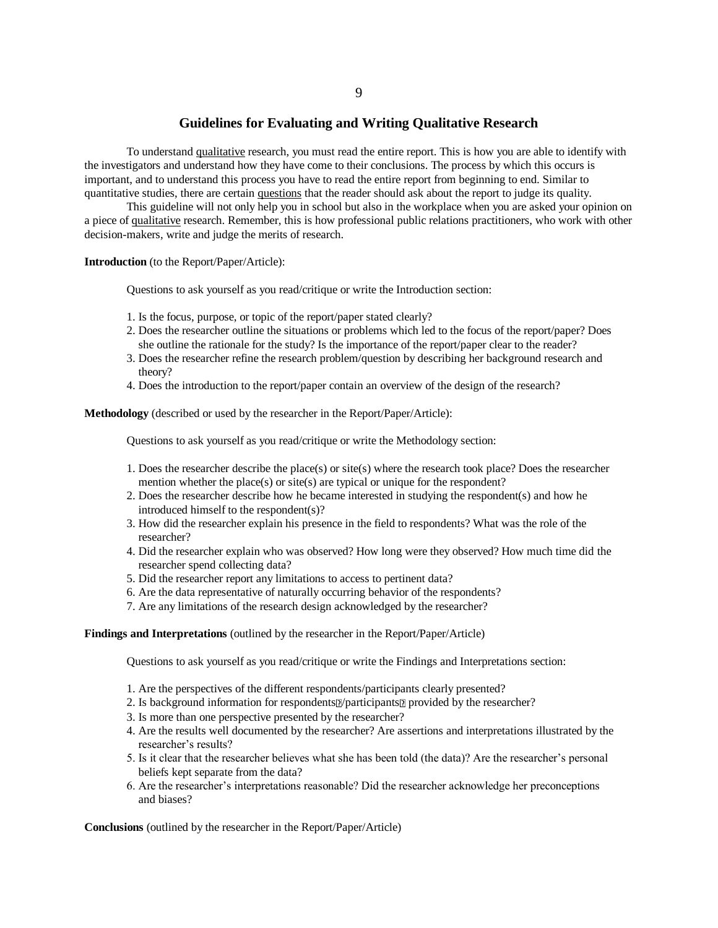#### 9

#### **Guidelines for Evaluating and Writing Qualitative Research**

To understand qualitative research, you must read the entire report. This is how you are able to identify with the investigators and understand how they have come to their conclusions. The process by which this occurs is important, and to understand this process you have to read the entire report from beginning to end. Similar to quantitative studies, there are certain questions that the reader should ask about the report to judge its quality.

This guideline will not only help you in school but also in the workplace when you are asked your opinion on a piece of qualitative research. Remember, this is how professional public relations practitioners, who work with other decision-makers, write and judge the merits of research.

**Introduction** (to the Report/Paper/Article):

Questions to ask yourself as you read/critique or write the Introduction section:

- 1. Is the focus, purpose, or topic of the report/paper stated clearly?
- 2. Does the researcher outline the situations or problems which led to the focus of the report/paper? Does she outline the rationale for the study? Is the importance of the report/paper clear to the reader?
- 3. Does the researcher refine the research problem/question by describing her background research and theory?
- 4. Does the introduction to the report/paper contain an overview of the design of the research?

**Methodology** (described or used by the researcher in the Report/Paper/Article):

Questions to ask yourself as you read/critique or write the Methodology section:

- 1. Does the researcher describe the place(s) or site(s) where the research took place? Does the researcher mention whether the place(s) or site(s) are typical or unique for the respondent?
- 2. Does the researcher describe how he became interested in studying the respondent(s) and how he introduced himself to the respondent(s)?
- 3. How did the researcher explain his presence in the field to respondents? What was the role of the researcher?
- 4. Did the researcher explain who was observed? How long were they observed? How much time did the researcher spend collecting data?
- 5. Did the researcher report any limitations to access to pertinent data?
- 6. Are the data representative of naturally occurring behavior of the respondents?
- 7. Are any limitations of the research design acknowledged by the researcher?

#### **Findings and Interpretations** (outlined by the researcher in the Report/Paper/Article)

Questions to ask yourself as you read/critique or write the Findings and Interpretations section:

- 1. Are the perspectives of the different respondents/participants clearly presented?
- 2. Is background information for respondents *participants* provided by the researcher?
- 3. Is more than one perspective presented by the researcher?
- 4. Are the results well documented by the researcher? Are assertions and interpretations illustrated by the researcher's results?
- 5. Is it clear that the researcher believes what she has been told (the data)? Are the researcher's personal beliefs kept separate from the data?
- 6. Are the researcher's interpretations reasonable? Did the researcher acknowledge her preconceptions and biases?

**Conclusions** (outlined by the researcher in the Report/Paper/Article)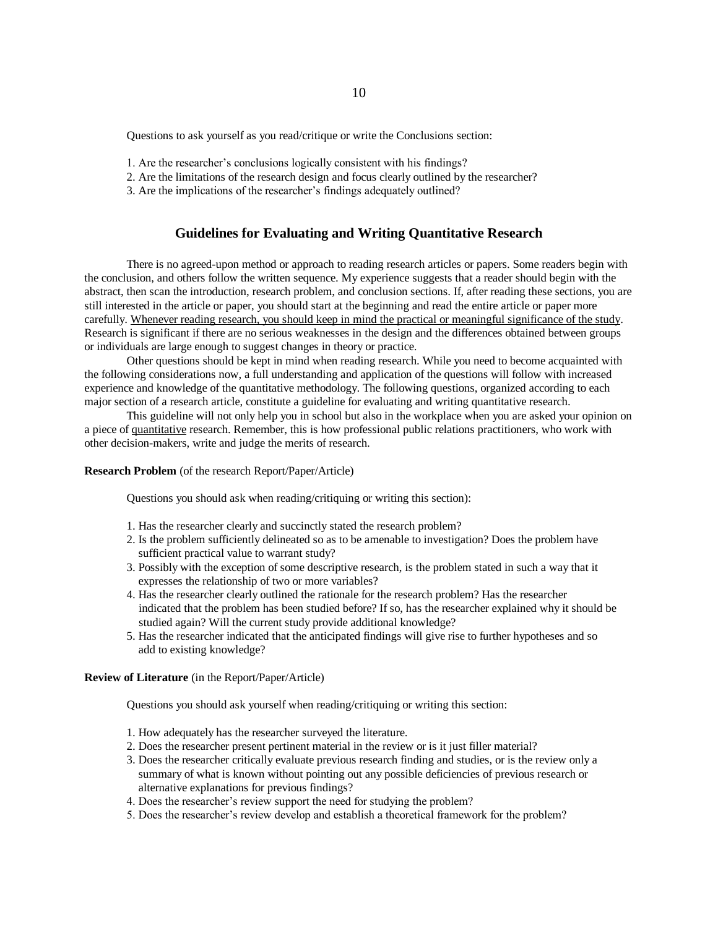Questions to ask yourself as you read/critique or write the Conclusions section:

- 1. Are the researcher's conclusions logically consistent with his findings?
- 2. Are the limitations of the research design and focus clearly outlined by the researcher?
- 3. Are the implications of the researcher's findings adequately outlined?

#### **Guidelines for Evaluating and Writing Quantitative Research**

There is no agreed-upon method or approach to reading research articles or papers. Some readers begin with the conclusion, and others follow the written sequence. My experience suggests that a reader should begin with the abstract, then scan the introduction, research problem, and conclusion sections. If, after reading these sections, you are still interested in the article or paper, you should start at the beginning and read the entire article or paper more carefully. Whenever reading research, you should keep in mind the practical or meaningful significance of the study. Research is significant if there are no serious weaknesses in the design and the differences obtained between groups or individuals are large enough to suggest changes in theory or practice.

Other questions should be kept in mind when reading research. While you need to become acquainted with the following considerations now, a full understanding and application of the questions will follow with increased experience and knowledge of the quantitative methodology. The following questions, organized according to each major section of a research article, constitute a guideline for evaluating and writing quantitative research.

This guideline will not only help you in school but also in the workplace when you are asked your opinion on a piece of quantitative research. Remember, this is how professional public relations practitioners, who work with other decision-makers, write and judge the merits of research.

**Research Problem** (of the research Report/Paper/Article)

Questions you should ask when reading/critiquing or writing this section):

- 1. Has the researcher clearly and succinctly stated the research problem?
- 2. Is the problem sufficiently delineated so as to be amenable to investigation? Does the problem have sufficient practical value to warrant study?
- 3. Possibly with the exception of some descriptive research, is the problem stated in such a way that it expresses the relationship of two or more variables?
- 4. Has the researcher clearly outlined the rationale for the research problem? Has the researcher indicated that the problem has been studied before? If so, has the researcher explained why it should be studied again? Will the current study provide additional knowledge?
- 5. Has the researcher indicated that the anticipated findings will give rise to further hypotheses and so add to existing knowledge?

#### **Review of Literature** (in the Report/Paper/Article)

Questions you should ask yourself when reading/critiquing or writing this section:

- 1. How adequately has the researcher surveyed the literature.
- 2. Does the researcher present pertinent material in the review or is it just filler material?
- 3. Does the researcher critically evaluate previous research finding and studies, or is the review only a summary of what is known without pointing out any possible deficiencies of previous research or alternative explanations for previous findings?
- 4. Does the researcher's review support the need for studying the problem?
- 5. Does the researcher's review develop and establish a theoretical framework for the problem?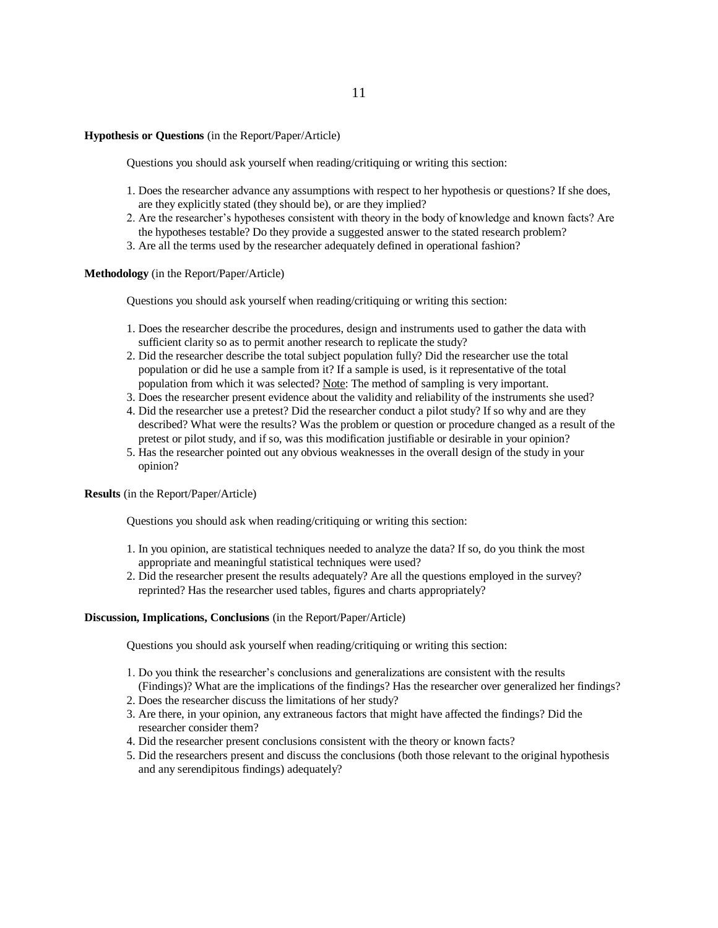#### **Hypothesis or Questions** (in the Report/Paper/Article)

Questions you should ask yourself when reading/critiquing or writing this section:

- 1. Does the researcher advance any assumptions with respect to her hypothesis or questions? If she does, are they explicitly stated (they should be), or are they implied?
- 2. Are the researcher's hypotheses consistent with theory in the body of knowledge and known facts? Are the hypotheses testable? Do they provide a suggested answer to the stated research problem?
- 3. Are all the terms used by the researcher adequately defined in operational fashion?

**Methodology** (in the Report/Paper/Article)

Questions you should ask yourself when reading/critiquing or writing this section:

- 1. Does the researcher describe the procedures, design and instruments used to gather the data with sufficient clarity so as to permit another research to replicate the study?
- 2. Did the researcher describe the total subject population fully? Did the researcher use the total population or did he use a sample from it? If a sample is used, is it representative of the total population from which it was selected? Note: The method of sampling is very important.
- 3. Does the researcher present evidence about the validity and reliability of the instruments she used?
- 4. Did the researcher use a pretest? Did the researcher conduct a pilot study? If so why and are they described? What were the results? Was the problem or question or procedure changed as a result of the pretest or pilot study, and if so, was this modification justifiable or desirable in your opinion?
- 5. Has the researcher pointed out any obvious weaknesses in the overall design of the study in your opinion?

**Results** (in the Report/Paper/Article)

Questions you should ask when reading/critiquing or writing this section:

- 1. In you opinion, are statistical techniques needed to analyze the data? If so, do you think the most appropriate and meaningful statistical techniques were used?
- 2. Did the researcher present the results adequately? Are all the questions employed in the survey? reprinted? Has the researcher used tables, figures and charts appropriately?

#### **Discussion, Implications, Conclusions** (in the Report/Paper/Article)

Questions you should ask yourself when reading/critiquing or writing this section:

- 1. Do you think the researcher's conclusions and generalizations are consistent with the results (Findings)? What are the implications of the findings? Has the researcher over generalized her findings?
- 2. Does the researcher discuss the limitations of her study?
- 3. Are there, in your opinion, any extraneous factors that might have affected the findings? Did the researcher consider them?
- 4. Did the researcher present conclusions consistent with the theory or known facts?
- 5. Did the researchers present and discuss the conclusions (both those relevant to the original hypothesis and any serendipitous findings) adequately?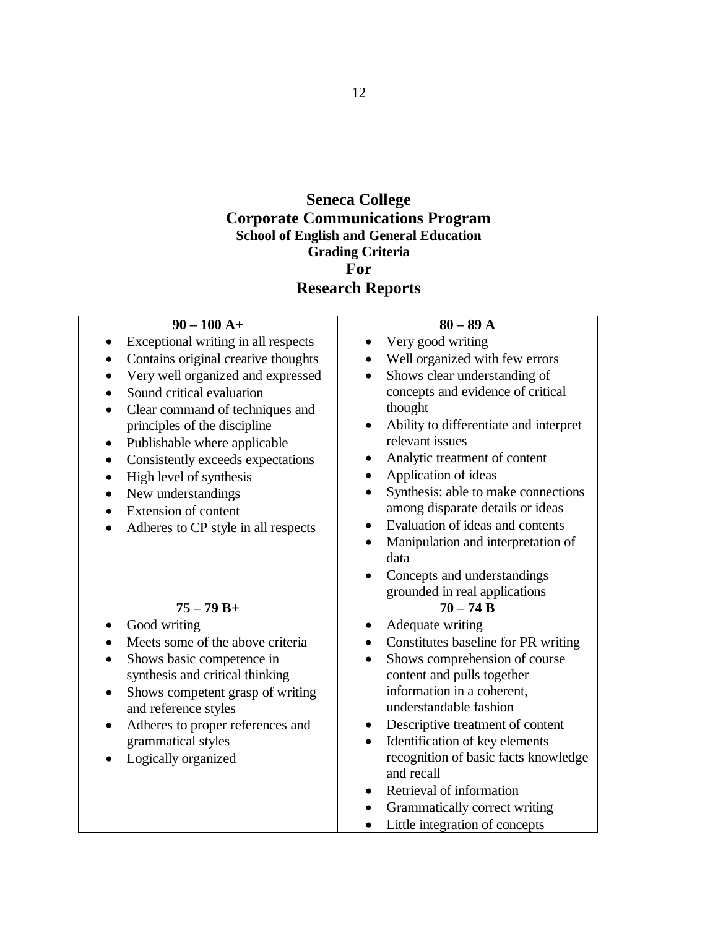# **Seneca College Corporate Communications Program School of English and General Education Grading Criteria For Research Reports**

| $90 - 100 A +$                                | $80 - 89$ A                                         |
|-----------------------------------------------|-----------------------------------------------------|
| Exceptional writing in all respects           | Very good writing                                   |
| Contains original creative thoughts           | Well organized with few errors<br>$\bullet$         |
| Very well organized and expressed             | Shows clear understanding of                        |
| Sound critical evaluation                     | concepts and evidence of critical                   |
| Clear command of techniques and               | thought                                             |
| principles of the discipline                  | Ability to differentiate and interpret<br>$\bullet$ |
| Publishable where applicable                  | relevant issues                                     |
| Consistently exceeds expectations             | Analytic treatment of content<br>$\bullet$          |
| High level of synthesis                       | Application of ideas<br>$\bullet$                   |
| New understandings                            | Synthesis: able to make connections                 |
| <b>Extension of content</b><br>$\bullet$      | among disparate details or ideas                    |
| Adheres to CP style in all respects           | Evaluation of ideas and contents<br>$\bullet$       |
|                                               | Manipulation and interpretation of                  |
|                                               | data                                                |
|                                               | Concepts and understandings                         |
|                                               | grounded in real applications                       |
| $75 - 79 B +$                                 | $70 - 74 B$                                         |
| Good writing                                  | Adequate writing                                    |
| Meets some of the above criteria              | Constitutes baseline for PR writing                 |
| Shows basic competence in                     | Shows comprehension of course<br>$\bullet$          |
| synthesis and critical thinking               | content and pulls together                          |
| Shows competent grasp of writing<br>$\bullet$ | information in a coherent,                          |
| and reference styles                          | understandable fashion                              |
| Adheres to proper references and              | Descriptive treatment of content<br>$\bullet$       |
| grammatical styles                            | Identification of key elements<br>$\bullet$         |
| Logically organized                           | recognition of basic facts knowledge<br>and recall  |
|                                               | Retrieval of information                            |
|                                               | Grammatically correct writing                       |
|                                               | Little integration of concepts                      |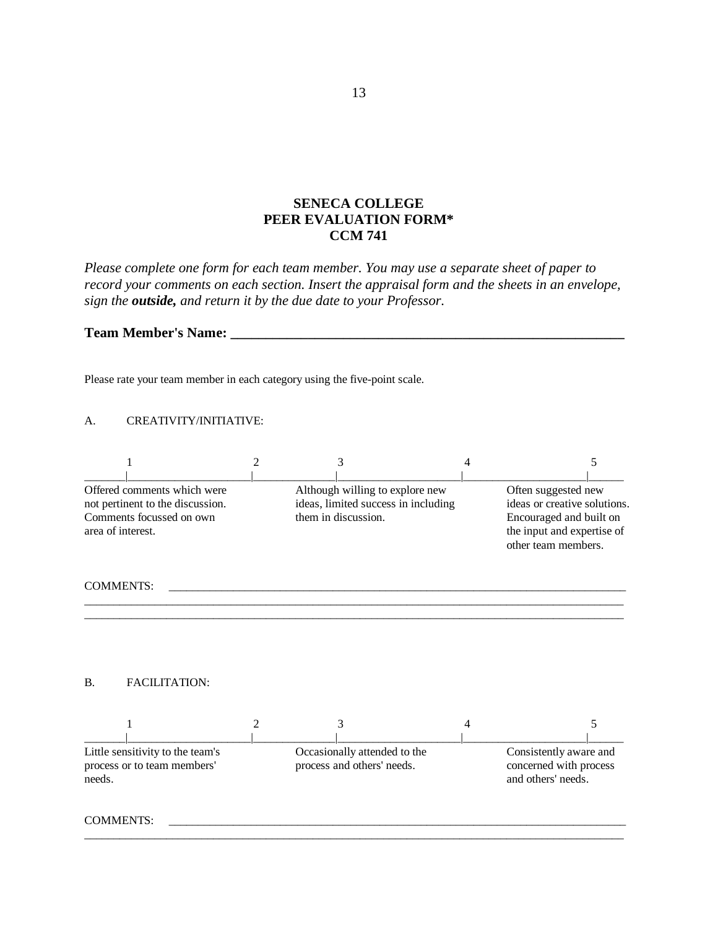# **SENECA COLLEGE PEER EVALUATION FORM\* CCM 741**

*Please complete one form for each team member. You may use a separate sheet of paper to record your comments on each section. Insert the appraisal form and the sheets in an envelope, sign the outside, and return it by the due date to your Professor.*

#### **Team Member's Name: \_\_\_\_\_\_\_\_\_\_\_\_\_\_\_\_\_\_\_\_\_\_\_\_\_\_\_\_\_\_\_\_\_\_\_\_\_\_\_\_\_\_\_\_\_\_\_\_\_\_\_\_\_\_\_\_**

Please rate your team member in each category using the five-point scale.

#### A. CREATIVITY/INITIATIVE:

|                                                                                                                  |                                                                                               | 4 |                                                                                                                                     |
|------------------------------------------------------------------------------------------------------------------|-----------------------------------------------------------------------------------------------|---|-------------------------------------------------------------------------------------------------------------------------------------|
| Offered comments which were<br>not pertinent to the discussion.<br>Comments focussed on own<br>area of interest. | Although willing to explore new<br>ideas, limited success in including<br>them in discussion. |   | Often suggested new<br>ideas or creative solutions.<br>Encouraged and built on<br>the input and expertise of<br>other team members. |
| <b>COMMENTS:</b>                                                                                                 |                                                                                               |   |                                                                                                                                     |

\_\_\_\_\_\_\_\_\_\_\_\_\_\_\_\_\_\_\_\_\_\_\_\_\_\_\_\_\_\_\_\_\_\_\_\_\_\_\_\_\_\_\_\_\_\_\_\_\_\_\_\_\_\_\_\_\_\_\_\_\_\_\_\_\_\_\_\_\_\_\_\_\_\_\_\_\_\_\_\_\_\_\_\_\_\_\_\_\_\_\_\_

#### B. FACILITATION:



 $\overline{\phantom{a}}$  , and the contribution of the contribution of the contribution of the contribution of the contribution of the contribution of the contribution of the contribution of the contribution of the contribution of the